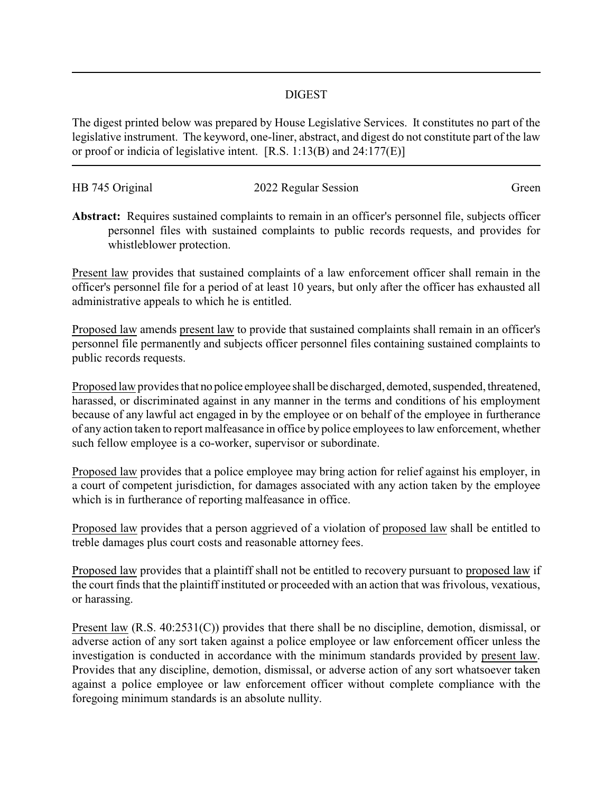## DIGEST

The digest printed below was prepared by House Legislative Services. It constitutes no part of the legislative instrument. The keyword, one-liner, abstract, and digest do not constitute part of the law or proof or indicia of legislative intent. [R.S. 1:13(B) and 24:177(E)]

| HB 745 Original | 2022 Regular Session | Green |
|-----------------|----------------------|-------|
|                 |                      |       |

**Abstract:** Requires sustained complaints to remain in an officer's personnel file, subjects officer personnel files with sustained complaints to public records requests, and provides for whistleblower protection.

Present law provides that sustained complaints of a law enforcement officer shall remain in the officer's personnel file for a period of at least 10 years, but only after the officer has exhausted all administrative appeals to which he is entitled.

Proposed law amends present law to provide that sustained complaints shall remain in an officer's personnel file permanently and subjects officer personnel files containing sustained complaints to public records requests.

Proposed law provides that no police employee shall be discharged, demoted, suspended, threatened, harassed, or discriminated against in any manner in the terms and conditions of his employment because of any lawful act engaged in by the employee or on behalf of the employee in furtherance of any action taken to report malfeasance in office by police employees to law enforcement, whether such fellow employee is a co-worker, supervisor or subordinate.

Proposed law provides that a police employee may bring action for relief against his employer, in a court of competent jurisdiction, for damages associated with any action taken by the employee which is in furtherance of reporting malfeasance in office.

Proposed law provides that a person aggrieved of a violation of proposed law shall be entitled to treble damages plus court costs and reasonable attorney fees.

Proposed law provides that a plaintiff shall not be entitled to recovery pursuant to proposed law if the court finds that the plaintiff instituted or proceeded with an action that was frivolous, vexatious, or harassing.

Present law (R.S. 40:2531(C)) provides that there shall be no discipline, demotion, dismissal, or adverse action of any sort taken against a police employee or law enforcement officer unless the investigation is conducted in accordance with the minimum standards provided by present law. Provides that any discipline, demotion, dismissal, or adverse action of any sort whatsoever taken against a police employee or law enforcement officer without complete compliance with the foregoing minimum standards is an absolute nullity.